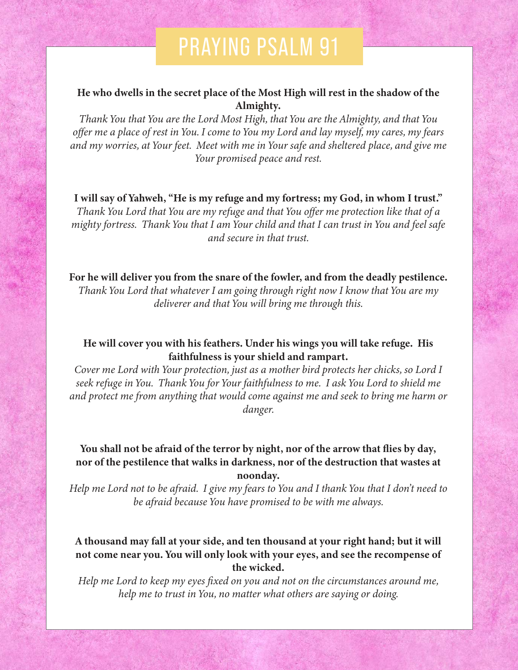# PRAYING PSALM 91

#### He who dwells in the secret place of the Most High will rest in the shadow of the Almighty.

*Thank You that You are the Lord Most High, that You are the Almighty, and that You offer me a place of rest in You. I come to You my Lord and lay myself, my cares, my fears and my worries, at Your feet. Meet with me in Your safe and sheltered place, and give me Your promised peace and rest.*

I will say of Yahweh, "He is my refuge and my fortress; my God, in whom I trust." *Thank You Lord that You are my refuge and that You offer me protection like that of a mighty fortress. Thank You that I am Your child and that I can trust in You and feel safe and secure in that trust.*

For he will deliver you from the snare of the fowler, and from the deadly pestilence. *Thank You Lord that whatever I am going through right now I know that You are my deliverer and that You will bring me through this.*

## He will cover you with his feathers. Under his wings you will take refuge. His faithfulness is your shield and rampart.

*Cover me Lord with Your protection, just as a mother bird protects her chicks, so Lord I seek refuge in You. Thank You for Your faithfulness to me. I ask You Lord to shield me and protect me from anything that would come against me and seek to bring me harm or danger.*

## You shall not be afraid of the terror by night, nor of the arrow that flies by day, nor of the pestilence that walks in darkness, nor of the destruction that wastes at noonday.

*Help me Lord not to be afraid. I give my fears to You and I thank You that I don't need to be afraid because You have promised to be with me always.*

#### A thousand may fall at your side, and ten thousand at your right hand; but it will not come near you. You will only look with your eyes, and see the recompense of the wicked.

*Help me Lord to keep my eyes fixed on you and not on the circumstances around me, help me to trust in You, no matter what others are saying or doing.*